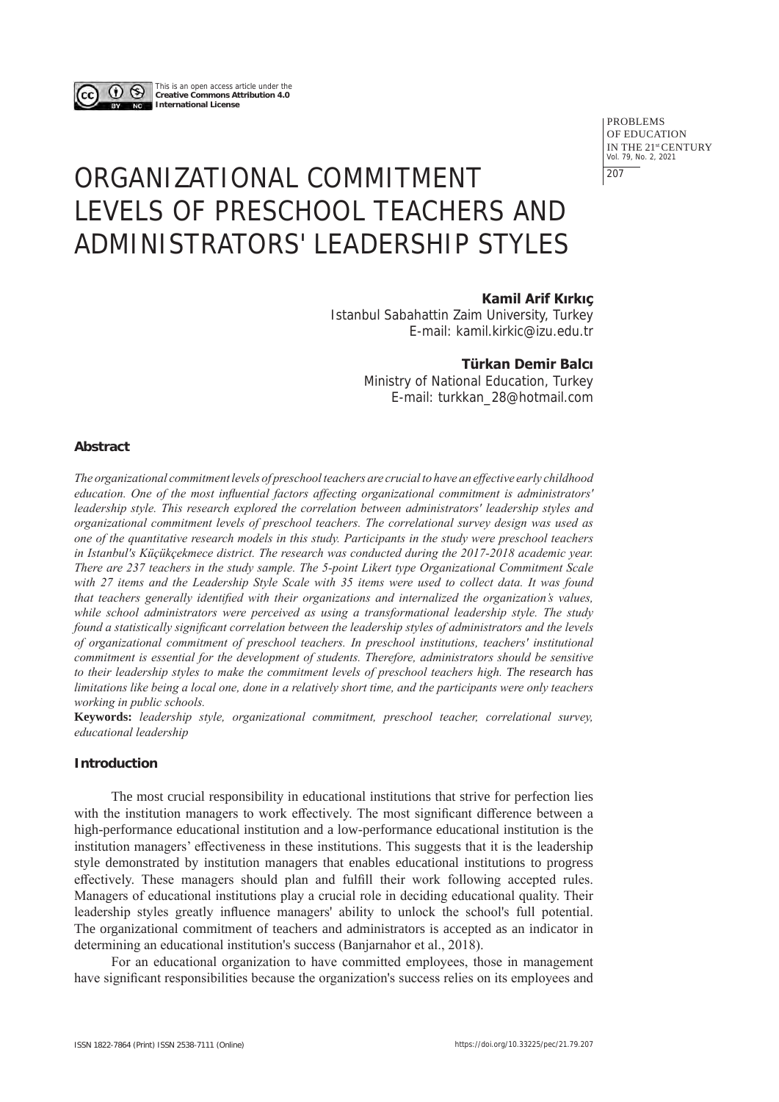

This is an open access article under the **Creative Commons Attribution 4.0 International License**

> PROBLEMS OF EDUCATION IN THE 21st CENTURY Vol. 79, No. 2, 2021 207

# ORGANIZATIONAL COMMITMENT LEVELS OF PRESCHOOL TEACHERS AND ADMINISTRATORS' LEADERSHIP STYLES

# **Kamil Arif Kırkıç**

Istanbul Sabahattin Zaim University, Turkey E-mail: kamil.kirkic@izu.edu.tr

# **Türkan Demir Balcı**

Ministry of National Education, Turkey E-mail: turkkan\_28@hotmail.com

# **Abstract**

*The organizational commitment levels of preschool teachers are crucial to have an effective early childhood education. One of the most influential factors affecting organizational commitment is administrators' leadership style. This research explored the correlation between administrators' leadership styles and organizational commitment levels of preschool teachers. The correlational survey design was used as one of the quantitative research models in this study. Participants in the study were preschool teachers in Istanbul's Küçükçekmece district. The research was conducted during the 2017-2018 academic year. There are 237 teachers in the study sample. The 5-point Likert type Organizational Commitment Scale with 27 items and the Leadership Style Scale with 35 items were used to collect data. It was found that teachers generally identified with their organizations and internalized the organization's values, while school administrators were perceived as using a transformational leadership style. The study found a statistically significant correlation between the leadership styles of administrators and the levels of organizational commitment of preschool teachers. In preschool institutions, teachers' institutional commitment is essential for the development of students. Therefore, administrators should be sensitive to their leadership styles to make the commitment levels of preschool teachers high. The research has limitations like being a local one, done in a relatively short time, and the participants were only teachers working in public schools.* 

**Keywords:** *leadership style, organizational commitment, preschool teacher, correlational survey, educational leadership*

## **Introduction**

The most crucial responsibility in educational institutions that strive for perfection lies with the institution managers to work effectively. The most significant difference between a high-performance educational institution and a low-performance educational institution is the institution managers' effectiveness in these institutions. This suggests that it is the leadership style demonstrated by institution managers that enables educational institutions to progress effectively. These managers should plan and fulfill their work following accepted rules. Managers of educational institutions play a crucial role in deciding educational quality. Their leadership styles greatly influence managers' ability to unlock the school's full potential. The organizational commitment of teachers and administrators is accepted as an indicator in determining an educational institution's success (Banjarnahor et al., 2018).

For an educational organization to have committed employees, those in management have significant responsibilities because the organization's success relies on its employees and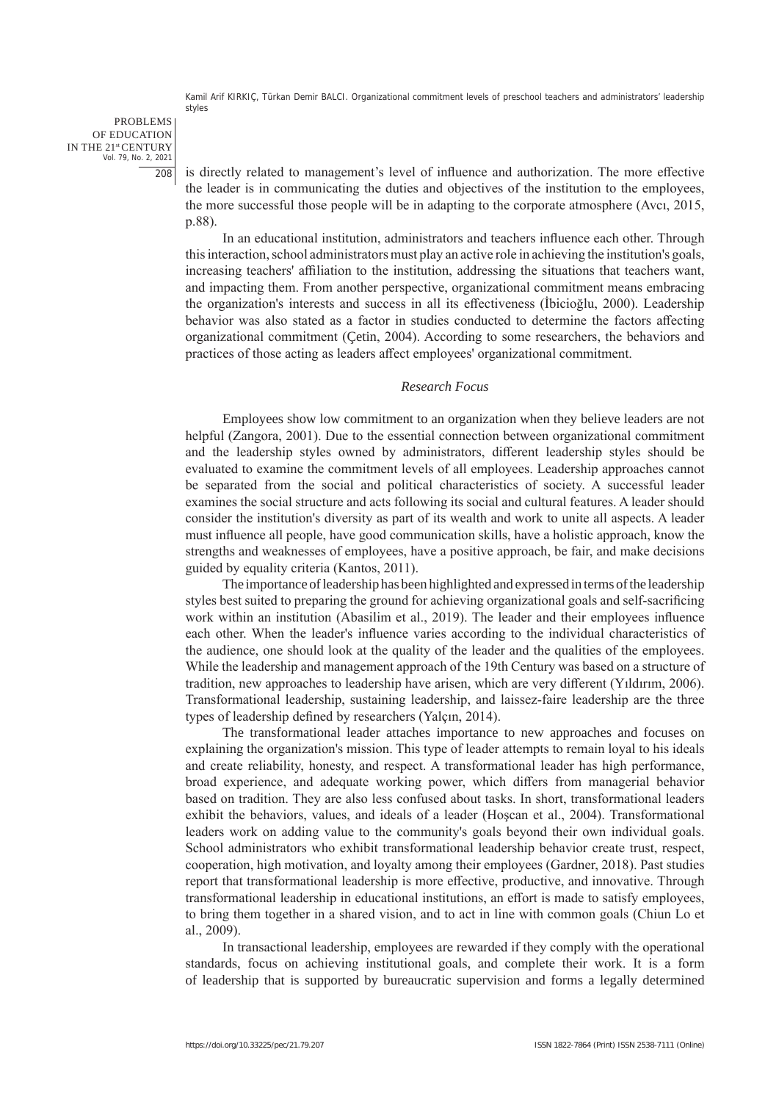PROBLEMS OF EDUCATION IN THE 21st CENTURY Vol. 79, No. 2, 2021 208

is directly related to management's level of influence and authorization. The more effective the leader is in communicating the duties and objectives of the institution to the employees, the more successful those people will be in adapting to the corporate atmosphere (Avcı, 2015, p.88).

In an educational institution, administrators and teachers influence each other. Through this interaction, school administrators must play an active role in achieving the institution's goals, increasing teachers' affiliation to the institution, addressing the situations that teachers want, and impacting them. From another perspective, organizational commitment means embracing the organization's interests and success in all its effectiveness (İbicioğlu, 2000). Leadership behavior was also stated as a factor in studies conducted to determine the factors affecting organizational commitment (Çetin, 2004). According to some researchers, the behaviors and practices of those acting as leaders affect employees' organizational commitment.

#### *Research Focus*

Employees show low commitment to an organization when they believe leaders are not helpful (Zangora, 2001). Due to the essential connection between organizational commitment and the leadership styles owned by administrators, different leadership styles should be evaluated to examine the commitment levels of all employees. Leadership approaches cannot be separated from the social and political characteristics of society. A successful leader examines the social structure and acts following its social and cultural features. A leader should consider the institution's diversity as part of its wealth and work to unite all aspects. A leader must influence all people, have good communication skills, have a holistic approach, know the strengths and weaknesses of employees, have a positive approach, be fair, and make decisions guided by equality criteria (Kantos, 2011).

The importance of leadership has been highlighted and expressed in terms of the leadership styles best suited to preparing the ground for achieving organizational goals and self-sacrificing work within an institution (Abasilim et al., 2019). The leader and their employees influence each other. When the leader's influence varies according to the individual characteristics of the audience, one should look at the quality of the leader and the qualities of the employees. While the leadership and management approach of the 19th Century was based on a structure of tradition, new approaches to leadership have arisen, which are very different (Yıldırım, 2006). Transformational leadership, sustaining leadership, and laissez-faire leadership are the three types of leadership defined by researchers (Yalçın, 2014).

The transformational leader attaches importance to new approaches and focuses on explaining the organization's mission. This type of leader attempts to remain loyal to his ideals and create reliability, honesty, and respect. A transformational leader has high performance, broad experience, and adequate working power, which differs from managerial behavior based on tradition. They are also less confused about tasks. In short, transformational leaders exhibit the behaviors, values, and ideals of a leader (Hoşcan et al., 2004). Transformational leaders work on adding value to the community's goals beyond their own individual goals. School administrators who exhibit transformational leadership behavior create trust, respect, cooperation, high motivation, and loyalty among their employees (Gardner, 2018). Past studies report that transformational leadership is more effective, productive, and innovative. Through transformational leadership in educational institutions, an effort is made to satisfy employees, to bring them together in a shared vision, and to act in line with common goals (Chiun Lo et al., 2009).

In transactional leadership, employees are rewarded if they comply with the operational standards, focus on achieving institutional goals, and complete their work. It is a form of leadership that is supported by bureaucratic supervision and forms a legally determined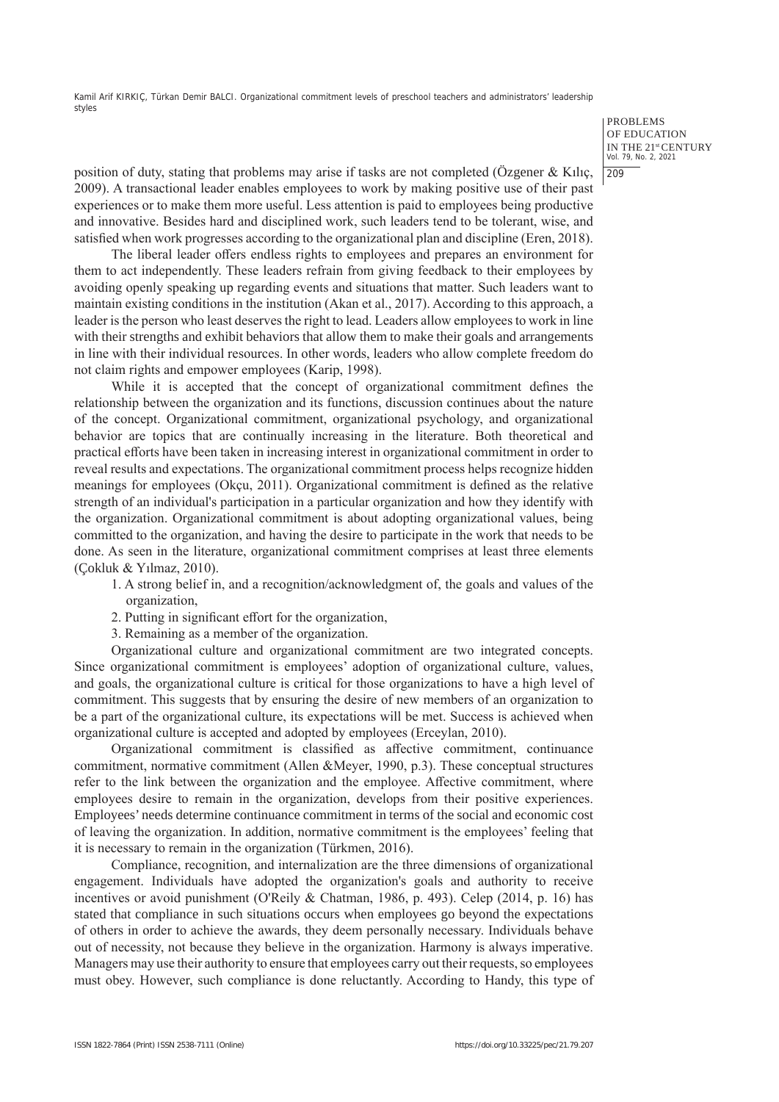> PROBLEMS OF EDUCATION IN THE 21st CENTURY Vol. 79, No. 2, 2021 209

position of duty, stating that problems may arise if tasks are not completed (Özgener & Kılıç, 2009). A transactional leader enables employees to work by making positive use of their past experiences or to make them more useful. Less attention is paid to employees being productive and innovative. Besides hard and disciplined work, such leaders tend to be tolerant, wise, and satisfied when work progresses according to the organizational plan and discipline (Eren, 2018).

The liberal leader offers endless rights to employees and prepares an environment for them to act independently. These leaders refrain from giving feedback to their employees by avoiding openly speaking up regarding events and situations that matter. Such leaders want to maintain existing conditions in the institution (Akan et al., 2017). According to this approach, a leader is the person who least deserves the right to lead. Leaders allow employees to work in line with their strengths and exhibit behaviors that allow them to make their goals and arrangements in line with their individual resources. In other words, leaders who allow complete freedom do not claim rights and empower employees (Karip, 1998).

While it is accepted that the concept of organizational commitment defines the relationship between the organization and its functions, discussion continues about the nature of the concept. Organizational commitment, organizational psychology, and organizational behavior are topics that are continually increasing in the literature. Both theoretical and practical efforts have been taken in increasing interest in organizational commitment in order to reveal results and expectations. The organizational commitment process helps recognize hidden meanings for employees (Okçu, 2011). Organizational commitment is defined as the relative strength of an individual's participation in a particular organization and how they identify with the organization. Organizational commitment is about adopting organizational values, being committed to the organization, and having the desire to participate in the work that needs to be done. As seen in the literature, organizational commitment comprises at least three elements (Çokluk & Yılmaz, 2010).

- 1. A strong belief in, and a recognition/acknowledgment of, the goals and values of the organization,
- 2. Putting in significant effort for the organization,
- 3. Remaining as a member of the organization.

Organizational culture and organizational commitment are two integrated concepts. Since organizational commitment is employees' adoption of organizational culture, values, and goals, the organizational culture is critical for those organizations to have a high level of commitment. This suggests that by ensuring the desire of new members of an organization to be a part of the organizational culture, its expectations will be met. Success is achieved when organizational culture is accepted and adopted by employees (Erceylan, 2010).

Organizational commitment is classified as affective commitment, continuance commitment, normative commitment (Allen &Meyer, 1990, p.3). These conceptual structures refer to the link between the organization and the employee. Affective commitment, where employees desire to remain in the organization, develops from their positive experiences. Employees' needs determine continuance commitment in terms of the social and economic cost of leaving the organization. In addition, normative commitment is the employees' feeling that it is necessary to remain in the organization (Türkmen, 2016).

Compliance, recognition, and internalization are the three dimensions of organizational engagement. Individuals have adopted the organization's goals and authority to receive incentives or avoid punishment (O'Reily & Chatman, 1986, p. 493). Celep (2014, p. 16) has stated that compliance in such situations occurs when employees go beyond the expectations of others in order to achieve the awards, they deem personally necessary. Individuals behave out of necessity, not because they believe in the organization. Harmony is always imperative. Managers may use their authority to ensure that employees carry out their requests, so employees must obey. However, such compliance is done reluctantly. According to Handy, this type of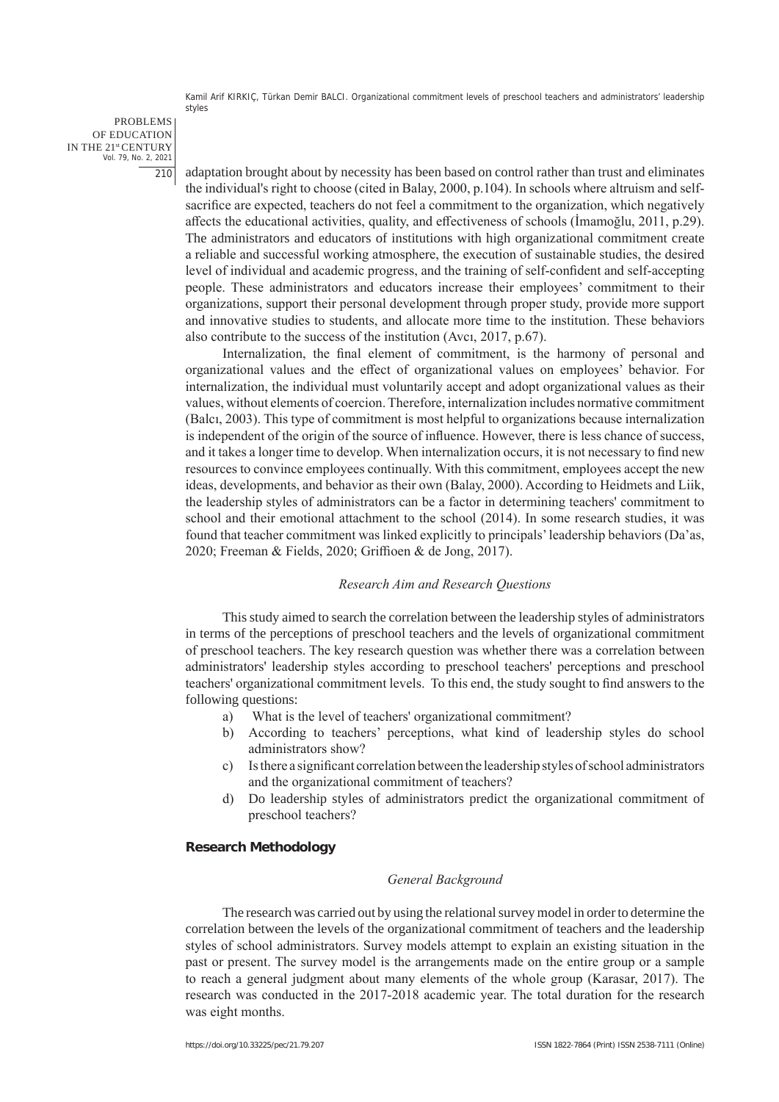PROBLEMS OF EDUCATION IN THE 21st CENTURY Vol. 79, No. 2, 2021 210

adaptation brought about by necessity has been based on control rather than trust and eliminates the individual's right to choose (cited in Balay, 2000, p.104). In schools where altruism and selfsacrifice are expected, teachers do not feel a commitment to the organization, which negatively affects the educational activities, quality, and effectiveness of schools (İmamoğlu, 2011, p.29). The administrators and educators of institutions with high organizational commitment create a reliable and successful working atmosphere, the execution of sustainable studies, the desired level of individual and academic progress, and the training of self-confident and self-accepting people. These administrators and educators increase their employees' commitment to their organizations, support their personal development through proper study, provide more support and innovative studies to students, and allocate more time to the institution. These behaviors also contribute to the success of the institution (Avcı, 2017, p.67).

Internalization, the final element of commitment, is the harmony of personal and organizational values and the effect of organizational values on employees' behavior. For internalization, the individual must voluntarily accept and adopt organizational values as their values, without elements of coercion. Therefore, internalization includes normative commitment (Balcı, 2003). This type of commitment is most helpful to organizations because internalization is independent of the origin of the source of influence. However, there is less chance of success, and it takes a longer time to develop. When internalization occurs, it is not necessary to find new resources to convince employees continually. With this commitment, employees accept the new ideas, developments, and behavior as their own (Balay, 2000). According to Heidmets and Liik, the leadership styles of administrators can be a factor in determining teachers' commitment to school and their emotional attachment to the school (2014). In some research studies, it was found that teacher commitment was linked explicitly to principals' leadership behaviors (Da'as, 2020; Freeman & Fields, 2020; Griffioen & de Jong, 2017).

#### *Research Aim and Research Questions*

This study aimed to search the correlation between the leadership styles of administrators in terms of the perceptions of preschool teachers and the levels of organizational commitment of preschool teachers. The key research question was whether there was a correlation between administrators' leadership styles according to preschool teachers' perceptions and preschool teachers' organizational commitment levels. To this end, the study sought to find answers to the following questions:

- a) What is the level of teachers' organizational commitment?
- b) According to teachers' perceptions, what kind of leadership styles do school administrators show?
- c) Is there a significant correlation between the leadership styles of school administrators and the organizational commitment of teachers?
- d) Do leadership styles of administrators predict the organizational commitment of preschool teachers?

## **Research Methodology**

## *General Background*

The research was carried out by using the relational survey model in order to determine the correlation between the levels of the organizational commitment of teachers and the leadership styles of school administrators. Survey models attempt to explain an existing situation in the past or present. The survey model is the arrangements made on the entire group or a sample to reach a general judgment about many elements of the whole group (Karasar, 2017). The research was conducted in the 2017-2018 academic year. The total duration for the research was eight months.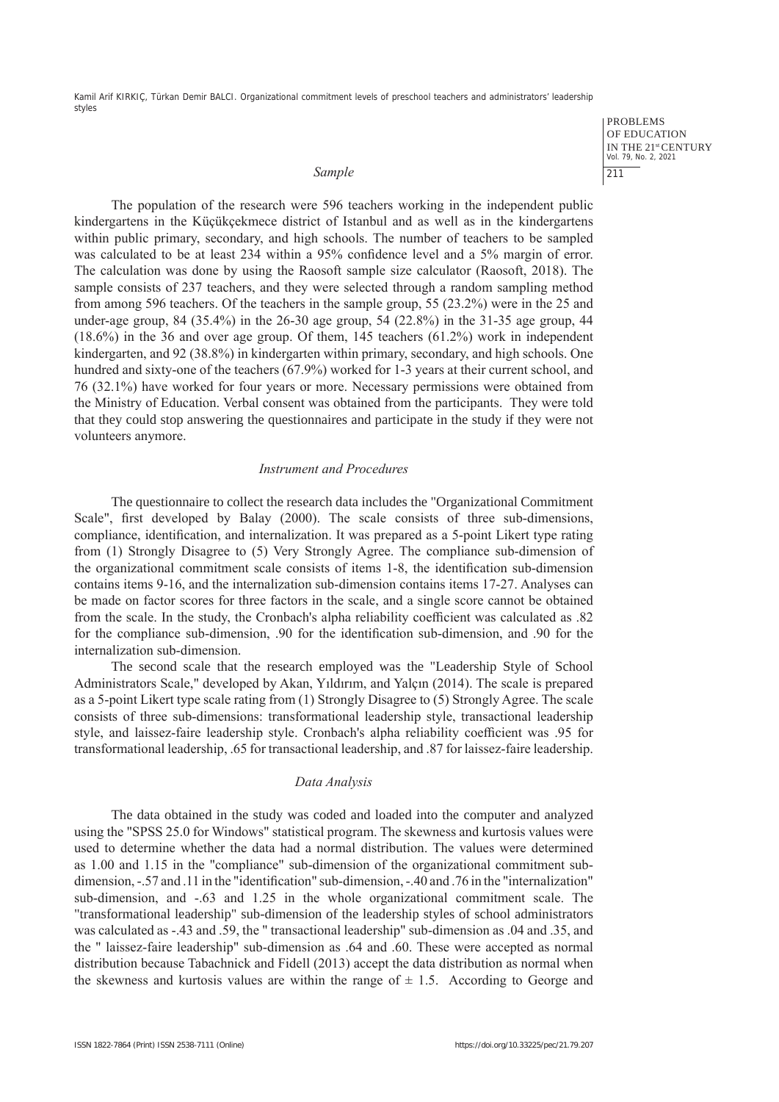#### *Sample*

PROBLEMS OF EDUCATION IN THE 21st CENTURY Vol. 79, No. 2, 2021 211

The population of the research were 596 teachers working in the independent public kindergartens in the Küçükçekmece district of Istanbul and as well as in the kindergartens within public primary, secondary, and high schools. The number of teachers to be sampled was calculated to be at least 234 within a 95% confidence level and a 5% margin of error. The calculation was done by using the Raosoft sample size calculator (Raosoft, 2018). The sample consists of 237 teachers, and they were selected through a random sampling method from among 596 teachers. Of the teachers in the sample group, 55 (23.2%) were in the 25 and under-age group, 84 (35.4%) in the 26-30 age group, 54 (22.8%) in the 31-35 age group, 44 (18.6%) in the 36 and over age group. Of them, 145 teachers (61.2%) work in independent kindergarten, and 92 (38.8%) in kindergarten within primary, secondary, and high schools. One hundred and sixty-one of the teachers (67.9%) worked for 1-3 years at their current school, and 76 (32.1%) have worked for four years or more. Necessary permissions were obtained from the Ministry of Education. Verbal consent was obtained from the participants. They were told that they could stop answering the questionnaires and participate in the study if they were not volunteers anymore.

## *Instrument and Procedures*

The questionnaire to collect the research data includes the "Organizational Commitment Scale", first developed by Balay (2000). The scale consists of three sub-dimensions, compliance, identification, and internalization. It was prepared as a 5-point Likert type rating from (1) Strongly Disagree to (5) Very Strongly Agree. The compliance sub-dimension of the organizational commitment scale consists of items 1-8, the identification sub-dimension contains items 9-16, and the internalization sub-dimension contains items 17-27. Analyses can be made on factor scores for three factors in the scale, and a single score cannot be obtained from the scale. In the study, the Cronbach's alpha reliability coefficient was calculated as .82 for the compliance sub-dimension, .90 for the identification sub-dimension, and .90 for the internalization sub-dimension.

The second scale that the research employed was the "Leadership Style of School Administrators Scale," developed by Akan, Yıldırım, and Yalçın (2014). The scale is prepared as a 5-point Likert type scale rating from (1) Strongly Disagree to (5) Strongly Agree. The scale consists of three sub-dimensions: transformational leadership style, transactional leadership style, and laissez-faire leadership style. Cronbach's alpha reliability coefficient was .95 for transformational leadership, .65 for transactional leadership, and .87 for laissez-faire leadership.

#### *Data Analysis*

The data obtained in the study was coded and loaded into the computer and analyzed using the "SPSS 25.0 for Windows" statistical program. The skewness and kurtosis values were used to determine whether the data had a normal distribution. The values were determined as 1.00 and 1.15 in the "compliance" sub-dimension of the organizational commitment subdimension, -.57 and .11 in the "identification" sub-dimension, -.40 and .76 in the "internalization" sub-dimension, and -.63 and 1.25 in the whole organizational commitment scale. The "transformational leadership" sub-dimension of the leadership styles of school administrators was calculated as -.43 and .59, the " transactional leadership" sub-dimension as .04 and .35, and the " laissez-faire leadership" sub-dimension as .64 and .60. These were accepted as normal distribution because Tabachnick and Fidell (2013) accept the data distribution as normal when the skewness and kurtosis values are within the range of  $\pm$  1.5. According to George and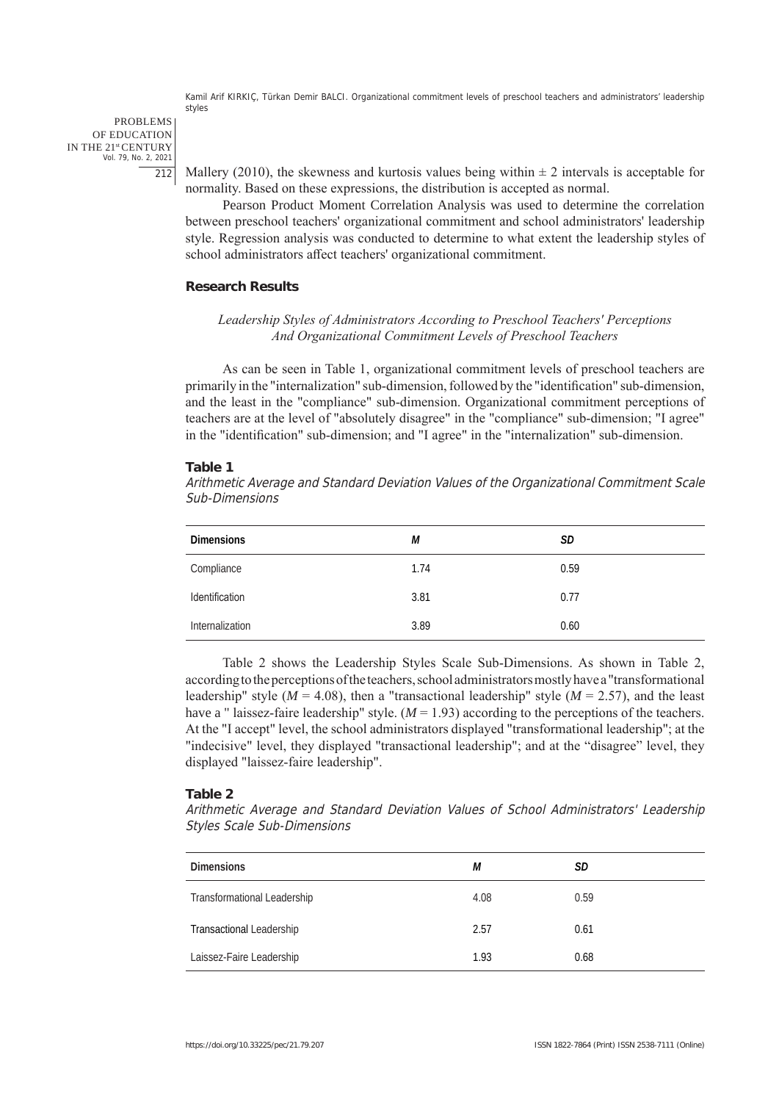PROBLEMS OF EDUCATION IN THE 21st CENTURY Vol. 79, No. 2, 2021 212

Mallery (2010), the skewness and kurtosis values being within  $\pm 2$  intervals is acceptable for normality. Based on these expressions, the distribution is accepted as normal.

Pearson Product Moment Correlation Analysis was used to determine the correlation between preschool teachers' organizational commitment and school administrators' leadership style. Regression analysis was conducted to determine to what extent the leadership styles of school administrators affect teachers' organizational commitment.

## **Research Results**

# *Leadership Styles of Administrators According to Preschool Teachers' Perceptions And Organizational Commitment Levels of Preschool Teachers*

As can be seen in Table 1, organizational commitment levels of preschool teachers are primarily in the "internalization" sub-dimension, followed by the "identification" sub-dimension, and the least in the "compliance" sub-dimension. Organizational commitment perceptions of teachers are at the level of "absolutely disagree" in the "compliance" sub-dimension; "I agree" in the "identification" sub-dimension; and "I agree" in the "internalization" sub-dimension.

#### **Table 1**

Arithmetic Average and Standard Deviation Values of the Organizational Commitment Scale Sub-Dimensions

| <b>Dimensions</b> | М    | SD   |
|-------------------|------|------|
| Compliance        | 1.74 | 0.59 |
| Identification    | 3.81 | 0.77 |
| Internalization   | 3.89 | 0.60 |

Table 2 shows the Leadership Styles Scale Sub-Dimensions. As shown in Table 2, according to the perceptions of the teachers, school administrators mostly have a "transformational leadership" style ( $M = 4.08$ ), then a "transactional leadership" style ( $M = 2.57$ ), and the least have a " laissez-faire leadership" style.  $(M = 1.93)$  according to the perceptions of the teachers. At the "I accept" level, the school administrators displayed "transformational leadership"; at the "indecisive" level, they displayed "transactional leadership"; and at the "disagree" level, they displayed "laissez-faire leadership".

#### **Table 2**

Arithmetic Average and Standard Deviation Values of School Administrators' Leadership Styles Scale Sub-Dimensions

| <b>Dimensions</b>           | М    | SD   |
|-----------------------------|------|------|
| Transformational Leadership | 4.08 | 0.59 |
| Transactional Leadership    | 2.57 | 0.61 |
| Laissez-Faire Leadership    | 1.93 | 0.68 |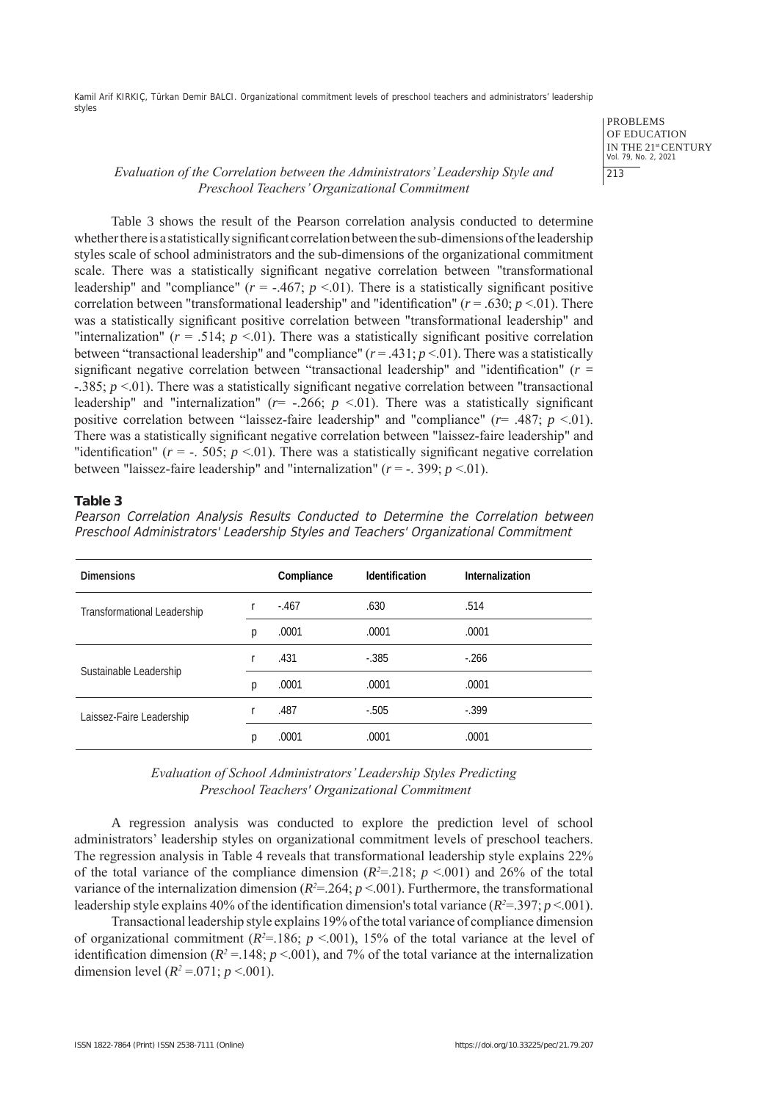> PROBLEMS OF EDUCATION IN THE 21st CENTURY Vol. 79, No. 2, 2021 213

# *Evaluation of the Correlation between the Administrators' Leadership Style and Preschool Teachers' Organizational Commitment*

Table 3 shows the result of the Pearson correlation analysis conducted to determine whether there is a statistically significant correlation between the sub-dimensions of the leadership styles scale of school administrators and the sub-dimensions of the organizational commitment scale. There was a statistically significant negative correlation between "transformational leadership" and "compliance" ( $r = -0.467$ ;  $p < 0.01$ ). There is a statistically significant positive correlation between "transformational leadership" and "identification" (*r* = .630; *p* <.01). There was a statistically significant positive correlation between "transformational leadership" and "internalization" ( $r = .514$ ;  $p < .01$ ). There was a statistically significant positive correlation between "transactional leadership" and "compliance" (*r* = .431; *p* <.01). There was a statistically significant negative correlation between "transactional leadership" and "identification" (*r* = -.385; *p* <.01). There was a statistically significant negative correlation between "transactional leadership" and "internalization" ( $r=$  -.266;  $p \le 01$ ). There was a statistically significant positive correlation between "laissez-faire leadership" and "compliance" (*r*= .487; *p* <.01). There was a statistically significant negative correlation between "laissez-faire leadership" and "identification" ( $r = -505$ ;  $p \le 01$ ). There was a statistically significant negative correlation between "laissez-faire leadership" and "internalization" ( $r = -1.399$ ;  $p < 0.01$ ).

## **Table 3**

Pearson Correlation Analysis Results Conducted to Determine the Correlation between Preschool Administrators' Leadership Styles and Teachers' Organizational Commitment

| <b>Dimensions</b>           |   | Compliance | <b>Identification</b> | Internalization |
|-----------------------------|---|------------|-----------------------|-----------------|
| Transformational Leadership |   | $-.467$    | .630                  | .514            |
|                             | р | .0001      | .0001                 | .0001           |
| Sustainable Leadership      |   | .431       | $-.385$               | $-266$          |
|                             | р | .0001      | .0001                 | .0001           |
| Laissez-Faire Leadership    |   | .487       | $-.505$               | $-399$          |
|                             | p | .0001      | .0001                 | .0001           |

## *Evaluation of School Administrators' Leadership Styles Predicting Preschool Teachers' Organizational Commitment*

A regression analysis was conducted to explore the prediction level of school administrators' leadership styles on organizational commitment levels of preschool teachers. The regression analysis in Table 4 reveals that transformational leadership style explains 22% of the total variance of the compliance dimension  $(R^2=218; p \lt 0.001)$  and 26% of the total variance of the internalization dimension ( $R^2 = 264$ ;  $p < 001$ ). Furthermore, the transformational leadership style explains 40% of the identification dimension's total variance (*R<sup>2</sup>* =.397; *p* <.001).

Transactional leadership style explains 19% of the total variance of compliance dimension of organizational commitment ( $R^2 = 186$ ;  $p < 001$ ), 15% of the total variance at the level of identification dimension ( $R^2 = 148$ ;  $p < 001$ ), and 7% of the total variance at the internalization dimension level  $(R^2 = 0.071; p < 0.001)$ .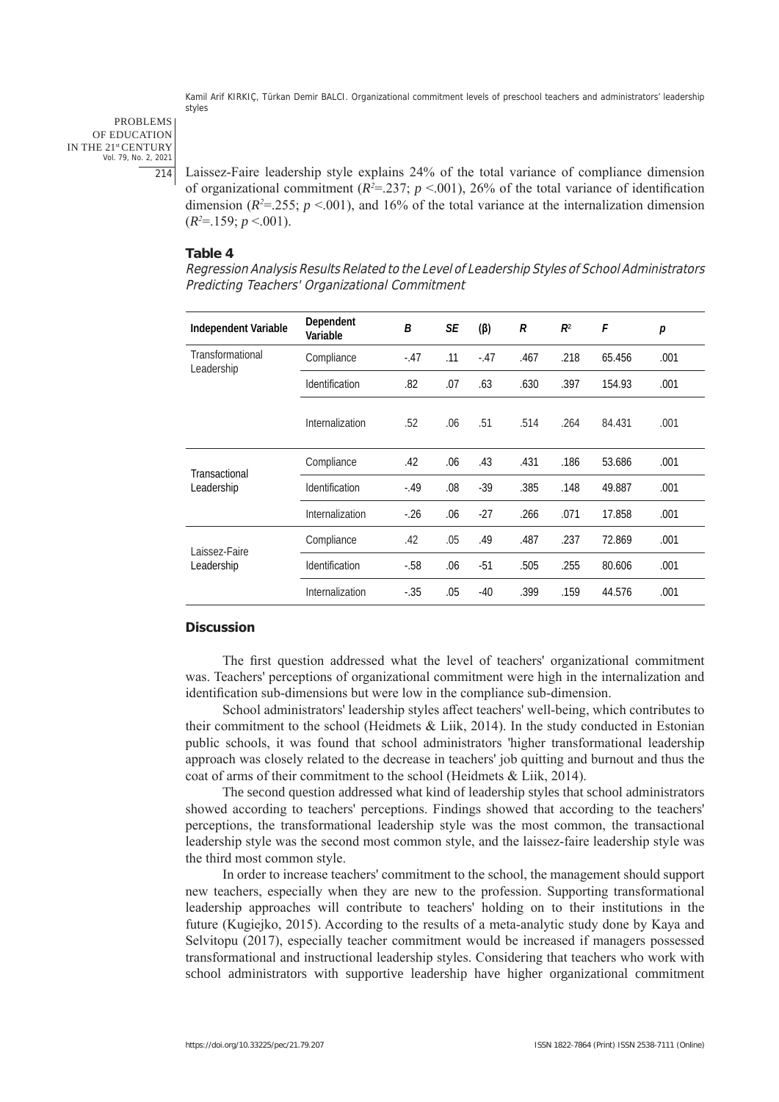PROBLEMS OF EDUCATION IN THE 21st CENTURY Vol. 79, No. 2, 2021 214

Laissez-Faire leadership style explains 24% of the total variance of compliance dimension of organizational commitment ( $R^2 = 237$ ;  $p < 001$ ), 26% of the total variance of identification dimension ( $R^2 = 255$ ;  $p < 001$ ), and 16% of the total variance at the internalization dimension  $(R^2=159; p \le 001).$ 

## **Table 4**

Regression Analysis Results Related to the Level of Leadership Styles of School Administrators Predicting Teachers' Organizational Commitment

| Independent Variable           | Dependent<br>Variable | B      | SE  | $(\beta)$ | R    | $R^2$ | F      | р    |
|--------------------------------|-----------------------|--------|-----|-----------|------|-------|--------|------|
| Transformational<br>Leadership | Compliance            | $-.47$ | .11 | $-.47$    | .467 | .218  | 65.456 | .001 |
|                                | Identification        | .82    | .07 | .63       | .630 | .397  | 154.93 | .001 |
|                                | Internalization       | .52    | .06 | .51       | .514 | .264  | 84.431 | .001 |
| Transactional<br>Leadership    | Compliance            | .42    | .06 | .43       | .431 | .186  | 53.686 | .001 |
|                                | Identification        | $-.49$ | .08 | $-39$     | .385 | .148  | 49.887 | .001 |
|                                | Internalization       | $-26$  | .06 | $-27$     | .266 | .071  | 17.858 | .001 |
| Laissez-Faire<br>Leadership    | Compliance            | .42    | .05 | .49       | .487 | .237  | 72.869 | .001 |
|                                | Identification        | $-.58$ | .06 | $-51$     | .505 | .255  | 80.606 | .001 |
|                                | Internalization       | $-.35$ | .05 | $-40$     | .399 | .159  | 44.576 | .001 |

## **Discussion**

The first question addressed what the level of teachers' organizational commitment was. Teachers' perceptions of organizational commitment were high in the internalization and identification sub-dimensions but were low in the compliance sub-dimension.

School administrators' leadership styles affect teachers' well-being, which contributes to their commitment to the school (Heidmets & Liik, 2014). In the study conducted in Estonian public schools, it was found that school administrators 'higher transformational leadership approach was closely related to the decrease in teachers' job quitting and burnout and thus the coat of arms of their commitment to the school (Heidmets & Liik, 2014).

The second question addressed what kind of leadership styles that school administrators showed according to teachers' perceptions. Findings showed that according to the teachers' perceptions, the transformational leadership style was the most common, the transactional leadership style was the second most common style, and the laissez-faire leadership style was the third most common style.

In order to increase teachers' commitment to the school, the management should support new teachers, especially when they are new to the profession. Supporting transformational leadership approaches will contribute to teachers' holding on to their institutions in the future (Kugiejko, 2015). According to the results of a meta-analytic study done by Kaya and Selvitopu (2017), especially teacher commitment would be increased if managers possessed transformational and instructional leadership styles. Considering that teachers who work with school administrators with supportive leadership have higher organizational commitment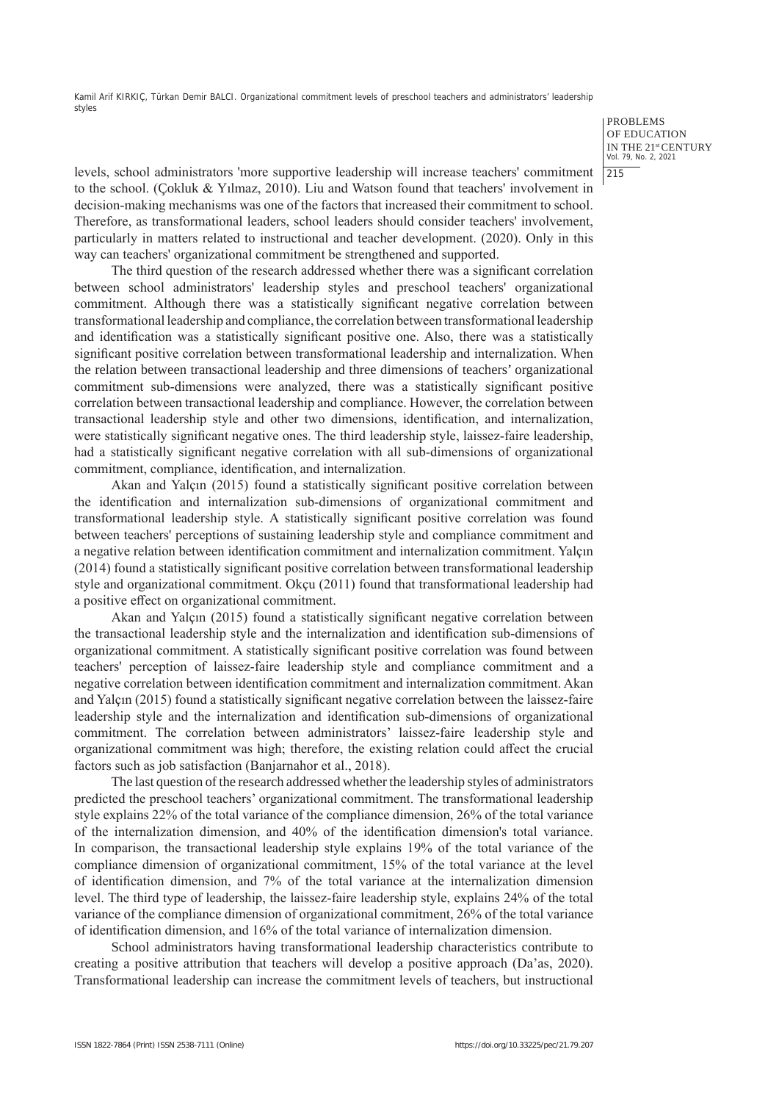> PROBLEMS OF EDUCATION IN THE 21st CENTURY Vol. 79, No. 2, 2021 215

levels, school administrators 'more supportive leadership will increase teachers' commitment to the school. (Çokluk & Yılmaz, 2010). Liu and Watson found that teachers' involvement in decision-making mechanisms was one of the factors that increased their commitment to school. Therefore, as transformational leaders, school leaders should consider teachers' involvement, particularly in matters related to instructional and teacher development. (2020). Only in this way can teachers' organizational commitment be strengthened and supported.

The third question of the research addressed whether there was a significant correlation between school administrators' leadership styles and preschool teachers' organizational commitment. Although there was a statistically significant negative correlation between transformational leadership and compliance, the correlation between transformational leadership and identification was a statistically significant positive one. Also, there was a statistically significant positive correlation between transformational leadership and internalization. When the relation between transactional leadership and three dimensions of teachers' organizational commitment sub-dimensions were analyzed, there was a statistically significant positive correlation between transactional leadership and compliance. However, the correlation between transactional leadership style and other two dimensions, identification, and internalization, were statistically significant negative ones. The third leadership style, laissez-faire leadership, had a statistically significant negative correlation with all sub-dimensions of organizational commitment, compliance, identification, and internalization.

Akan and Yalçın (2015) found a statistically significant positive correlation between the identification and internalization sub-dimensions of organizational commitment and transformational leadership style. A statistically significant positive correlation was found between teachers' perceptions of sustaining leadership style and compliance commitment and a negative relation between identification commitment and internalization commitment. Yalçın (2014) found a statistically significant positive correlation between transformational leadership style and organizational commitment. Okçu (2011) found that transformational leadership had a positive effect on organizational commitment.

Akan and Yalçın (2015) found a statistically significant negative correlation between the transactional leadership style and the internalization and identification sub-dimensions of organizational commitment. A statistically significant positive correlation was found between teachers' perception of laissez-faire leadership style and compliance commitment and a negative correlation between identification commitment and internalization commitment. Akan and Yalçın (2015) found a statistically significant negative correlation between the laissez-faire leadership style and the internalization and identification sub-dimensions of organizational commitment. The correlation between administrators' laissez-faire leadership style and organizational commitment was high; therefore, the existing relation could affect the crucial factors such as job satisfaction (Banjarnahor et al., 2018).

The last question of the research addressed whether the leadership styles of administrators predicted the preschool teachers' organizational commitment. The transformational leadership style explains 22% of the total variance of the compliance dimension, 26% of the total variance of the internalization dimension, and 40% of the identification dimension's total variance. In comparison, the transactional leadership style explains 19% of the total variance of the compliance dimension of organizational commitment, 15% of the total variance at the level of identification dimension, and 7% of the total variance at the internalization dimension level. The third type of leadership, the laissez-faire leadership style, explains 24% of the total variance of the compliance dimension of organizational commitment, 26% of the total variance of identification dimension, and 16% of the total variance of internalization dimension.

School administrators having transformational leadership characteristics contribute to creating a positive attribution that teachers will develop a positive approach (Da'as, 2020). Transformational leadership can increase the commitment levels of teachers, but instructional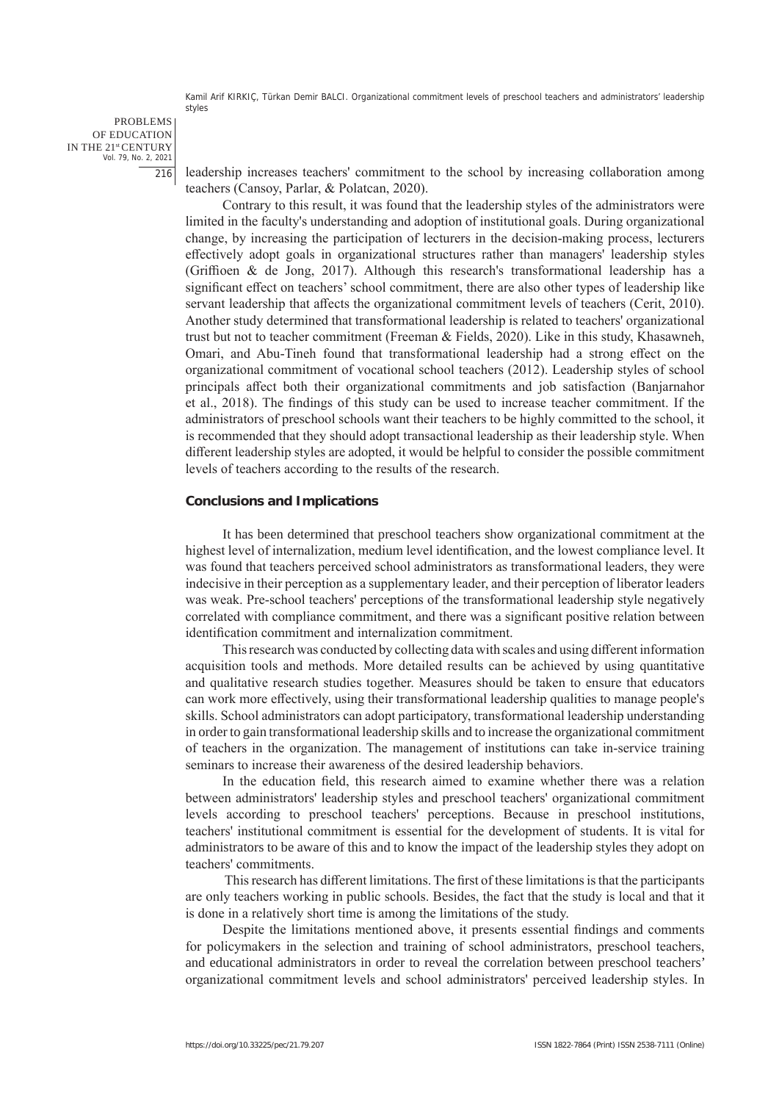PROBLEMS OF EDUCATION IN THE 21st CENTURY Vol. 79, No. 2, 2021 216

leadership increases teachers' commitment to the school by increasing collaboration among teachers (Cansoy, Parlar, & Polatcan, 2020).

Contrary to this result, it was found that the leadership styles of the administrators were limited in the faculty's understanding and adoption of institutional goals. During organizational change, by increasing the participation of lecturers in the decision-making process, lecturers effectively adopt goals in organizational structures rather than managers' leadership styles (Griffioen & de Jong, 2017). Although this research's transformational leadership has a significant effect on teachers' school commitment, there are also other types of leadership like servant leadership that affects the organizational commitment levels of teachers (Cerit, 2010). Another study determined that transformational leadership is related to teachers' organizational trust but not to teacher commitment (Freeman & Fields, 2020). Like in this study, Khasawneh, Omari, and Abu-Tineh found that transformational leadership had a strong effect on the organizational commitment of vocational school teachers (2012). Leadership styles of school principals affect both their organizational commitments and job satisfaction (Banjarnahor et al., 2018). The findings of this study can be used to increase teacher commitment. If the administrators of preschool schools want their teachers to be highly committed to the school, it is recommended that they should adopt transactional leadership as their leadership style. When different leadership styles are adopted, it would be helpful to consider the possible commitment levels of teachers according to the results of the research.

#### **Conclusions and Implications**

It has been determined that preschool teachers show organizational commitment at the highest level of internalization, medium level identification, and the lowest compliance level. It was found that teachers perceived school administrators as transformational leaders, they were indecisive in their perception as a supplementary leader, and their perception of liberator leaders was weak. Pre-school teachers' perceptions of the transformational leadership style negatively correlated with compliance commitment, and there was a significant positive relation between identification commitment and internalization commitment.

This research was conducted by collecting data with scales and using different information acquisition tools and methods. More detailed results can be achieved by using quantitative and qualitative research studies together. Measures should be taken to ensure that educators can work more effectively, using their transformational leadership qualities to manage people's skills. School administrators can adopt participatory, transformational leadership understanding in order to gain transformational leadership skills and to increase the organizational commitment of teachers in the organization. The management of institutions can take in-service training seminars to increase their awareness of the desired leadership behaviors.

In the education field, this research aimed to examine whether there was a relation between administrators' leadership styles and preschool teachers' organizational commitment levels according to preschool teachers' perceptions. Because in preschool institutions, teachers' institutional commitment is essential for the development of students. It is vital for administrators to be aware of this and to know the impact of the leadership styles they adopt on teachers' commitments.

 This research has different limitations. The first of these limitations is that the participants are only teachers working in public schools. Besides, the fact that the study is local and that it is done in a relatively short time is among the limitations of the study.

Despite the limitations mentioned above, it presents essential findings and comments for policymakers in the selection and training of school administrators, preschool teachers, and educational administrators in order to reveal the correlation between preschool teachers' organizational commitment levels and school administrators' perceived leadership styles. In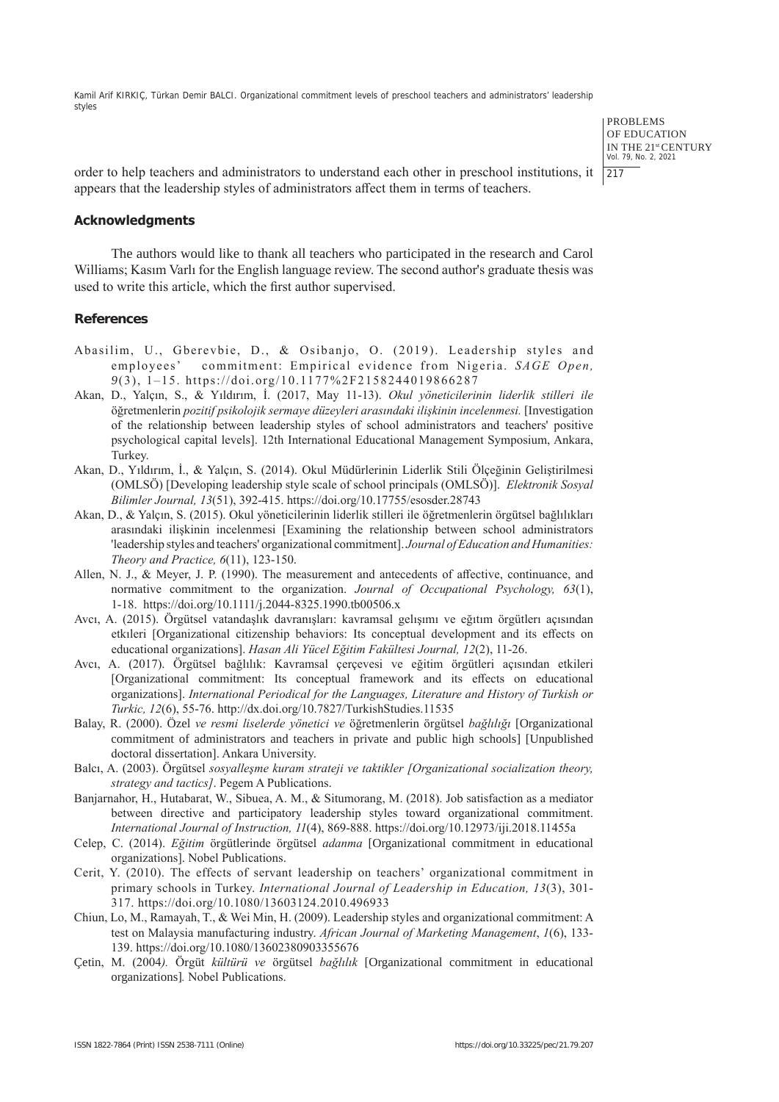> PROBLEMS OF EDUCATION IN THE 21st CENTURY Vol. 79, No. 2, 2021  $|217$

order to help teachers and administrators to understand each other in preschool institutions, it appears that the leadership styles of administrators affect them in terms of teachers.

## **Acknowledgments**

The authors would like to thank all teachers who participated in the research and Carol Williams; Kasım Varlı for the English language review. The second author's graduate thesis was used to write this article, which the first author supervised.

#### **References**

- Abasilim, U., Gberevbie, D., & Osibanjo, O. (2019). Leadership styles and employees' commitment: Empirical evidence from Nigeria. *SAGE Open, 9*(3), 1–15. https://doi.org/10.1177%2F2158244019866287
- Akan, D., Yalçın, S., & Yıldırım, İ. (2017, May 11-13). *Okul yöneticilerinin liderlik stilleri ile*  öğretmenlerin *pozitif psikolojik sermaye düzeyleri arasındaki ilişkinin incelenmesi.* [Investigation of the relationship between leadership styles of school administrators and teachers' positive psychological capital levels]. 12th International Educational Management Symposium, Ankara, Turkey.
- Akan, D., Yıldırım, İ., & Yalçın, S. (2014). Okul Müdürlerinin Liderlik Stili Ölçeğinin Geliştirilmesi (OMLSÖ) [Developing leadership style scale of school principals (OMLSÖ)]. *Elektronik Sosyal Bilimler Journal, 13*(51), 392-415. https://doi.org/10.17755/esosder.28743
- Akan, D., & Yalçın, S. (2015). Okul yöneticilerinin liderlik stilleri ile öğretmenlerin örgütsel bağlılıkları arasındaki ilişkinin incelenmesi [Examining the relationship between school administrators 'leadership styles and teachers' organizational commitment]. *Journal of Education and Humanities: Theory and Practice, 6*(11), 123-150.
- Allen, N. J., & Meyer, J. P. (1990). The measurement and antecedents of affective, continuance, and normative commitment to the organization. *Journal of Occupational Psychology, 63*(1), 1-18. https://doi.org/10.1111/j.2044-8325.1990.tb00506.x
- Avcı, A. (2015). Örgütsel vatandaşlık davranışları: kavramsal gelışımı ve eğıtım örgütlerı açısından etkıleri [Organizational citizenship behaviors: Its conceptual development and its effects on educational organizations]. *Hasan Ali Yücel Eğitim Fakültesi Journal, 12*(2), 11-26.
- Avcı, A. (2017). Örgütsel bağlılık: Kavramsal çerçevesi ve eğitim örgütleri açısından etkileri [Organizational commitment: Its conceptual framework and its effects on educational organizations]. *International Periodical for the Languages, Literature and History of Turkish or Turkic, 12*(6), 55-76. http://dx.doi.org/10.7827/TurkishStudies.11535
- Balay, R. (2000). Özel *ve resmi liselerde yönetici ve* öğretmenlerin örgütsel *bağlılığı* [Organizational commitment of administrators and teachers in private and public high schools] [Unpublished doctoral dissertation]. Ankara University.
- Balcı, A. (2003). Örgütsel *sosyalleşme kuram strateji ve taktikler [Organizational socialization theory, strategy and tactics]*. Pegem A Publications.
- Banjarnahor, H., Hutabarat, W., Sibuea, A. M., & Situmorang, M. (2018). Job satisfaction as a mediator between directive and participatory leadership styles toward organizational commitment. *International Journal of Instruction, 11*(4), 869-888. https://doi.org/10.12973/iji.2018.11455a
- Celep, C. (2014). *Eğitim* örgütlerinde örgütsel *adanma* [Organizational commitment in educational organizations]. Nobel Publications.
- Cerit, Y. (2010). The effects of servant leadership on teachers' organizational commitment in primary schools in Turkey. *International Journal of Leadership in Education, 13*(3), 301- 317. https://doi.org/10.1080/13603124.2010.496933
- Chiun, Lo, M., Ramayah, T., & Wei Min, H. (2009). Leadership styles and organizational commitment: A test on Malaysia manufacturing industry. *African Journal of Marketing Management*, *1*(6), 133- 139. https://doi.org/10.1080/13602380903355676
- Çetin, M. (2004*).* Örgüt *kültürü ve* örgütsel *bağlılık* [Organizational commitment in educational organizations]*.* Nobel Publications.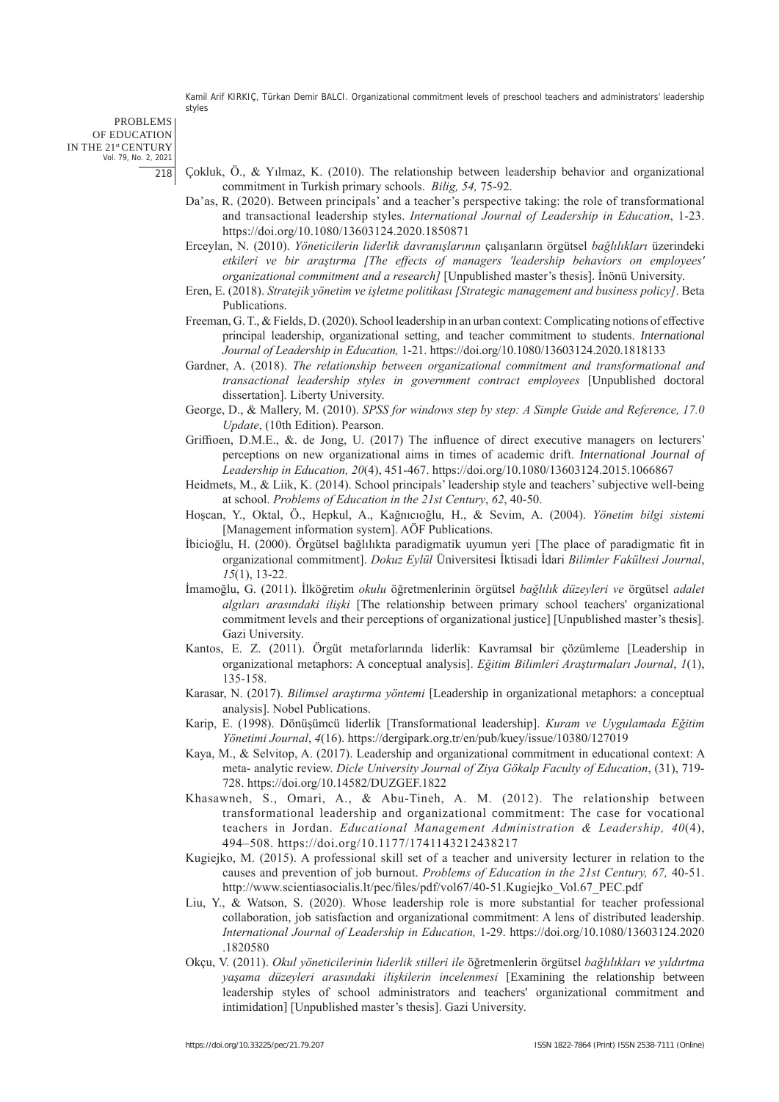#### PROBLEMS OF EDUCATION IN THE 21st CENTURY Vol. 79, No. 2, 2021 218

- Çokluk, Ö., & Yılmaz, K. (2010). The relationship between leadership behavior and organizational commitment in Turkish primary schools. *Bilig, 54,* 75-92.
	- Da'as, R. (2020). Between principals' and a teacher's perspective taking: the role of transformational and transactional leadership styles. *International Journal of Leadership in Education*, 1-23. https://doi.org/10.1080/13603124.2020.1850871
	- Erceylan, N. (2010). *Yöneticilerin liderlik davranışlarının* çalışanların örgütsel *bağlılıkları* üzerindeki *etkileri ve bir araştırma [The effects of managers 'leadership behaviors on employees' organizational commitment and a research]* [Unpublished master's thesis]. İnönü University.
	- Eren, E. (2018). *Stratejik yönetim ve işletme politikası [Strategic management and business policy]*. Beta Publications.
	- Freeman, G. T., & Fields, D. (2020). School leadership in an urban context: Complicating notions of effective principal leadership, organizational setting, and teacher commitment to students. *International Journal of Leadership in Education,* 1-21. https://doi.org/10.1080/13603124.2020.1818133
	- Gardner, A. (2018). *The relationship between organizational commitment and transformational and transactional leadership styles in government contract employees* [Unpublished doctoral dissertation]. Liberty University.
	- George, D., & Mallery, M. (2010). *SPSS for windows step by step: A Simple Guide and Reference, 17.0 Update*, (10th Edition). Pearson.
	- Griffioen, D.M.E., &. de Jong, U. (2017) The influence of direct executive managers on lecturers' perceptions on new organizational aims in times of academic drift. *International Journal of Leadership in Education, 20*(4), 451-467. https://doi.org/10.1080/13603124.2015.1066867
	- Heidmets, M., & Liik, K. (2014). School principals' leadership style and teachers' subjective well-being at school. *Problems of Education in the 21st Century*, *62*, 40-50.
	- Hoşcan, Y., Oktal, Ö., Hepkul, A., Kağnıcıoğlu, H., & Sevim, A. (2004). *Yönetim bilgi sistemi*  [Management information system]. AÖF Publications.
	- İbicioğlu, H. (2000). Örgütsel bağlılıkta paradigmatik uyumun yeri [The place of paradigmatic fit in organizational commitment]. *Dokuz Eylül* Üniversitesi İktisadi İdari *Bilimler Fakültesi Journal*, *15*(1), 13-22.
	- İmamoğlu, G. (2011). İlköğretim *okulu* öğretmenlerinin örgütsel *bağlılık düzeyleri ve* örgütsel *adalet algıları arasındaki ilişki* [The relationship between primary school teachers' organizational commitment levels and their perceptions of organizational justice] [Unpublished master's thesis]. Gazi University.
	- Kantos, E. Z. (2011). Örgüt metaforlarında liderlik: Kavramsal bir çözümleme [Leadership in organizational metaphors: A conceptual analysis]. *Eğitim Bilimleri Araştırmaları Journal*, *1*(1), 135-158.
	- Karasar, N. (2017). *Bilimsel araştırma yöntemi* [Leadership in organizational metaphors: a conceptual analysis]. Nobel Publications.
	- Karip, E. (1998). Dönüşümcü liderlik [Transformational leadership]. *Kuram ve Uygulamada Eğitim Yönetimi Journal*, *4*(16). https://dergipark.org.tr/en/pub/kuey/issue/10380/127019
	- Kaya, M., & Selvitop, A. (2017). Leadership and organizational commitment in educational context: A meta- analytic review. *Dicle University Journal of Ziya Gökalp Faculty of Education*, (31), 719- 728. https://doi.org/10.14582/DUZGEF.1822
	- Khasawneh, S., Omari, A., & Abu-Tineh, A. M. (2012). The relationship between transformational leadership and organizational commitment: The case for vocational teachers in Jordan. *Educational Management Administration & Leadership, 40*(4), 494–508. https://doi.org/10.1177/1741143212438217
	- Kugiejko, M. (2015). A professional skill set of a teacher and university lecturer in relation to the causes and prevention of job burnout. *Problems of Education in the 21st Century, 67,* 40-51. http://www.scientiasocialis.lt/pec/files/pdf/vol67/40-51.Kugiejko\_Vol.67\_PEC.pdf
	- Liu, Y., & Watson, S. (2020). Whose leadership role is more substantial for teacher professional collaboration, job satisfaction and organizational commitment: A lens of distributed leadership. *International Journal of Leadership in Education,* 1-29. https://doi.org/10.1080/13603124.2020 .1820580
	- Okçu, V. (2011). *Okul yöneticilerinin liderlik stilleri ile* öğretmenlerin örgütsel *bağlılıkları ve yıldırtma yaşama düzeyleri arasındaki ilişkilerin incelenmesi* [Examining the relationship between leadership styles of school administrators and teachers' organizational commitment and intimidation] [Unpublished master's thesis]. Gazi University.